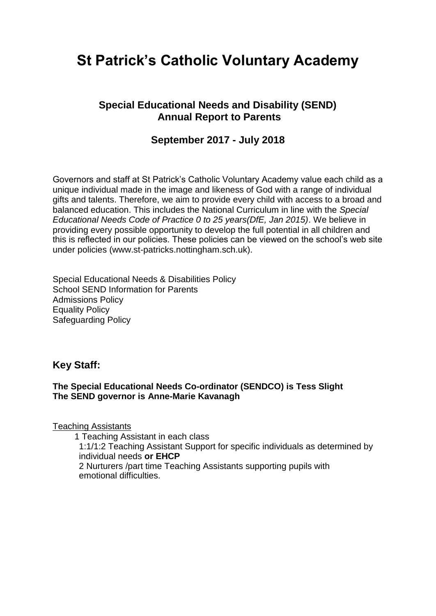# **St Patrick's Catholic Voluntary Academy**

## **Special Educational Needs and Disability (SEND) Annual Report to Parents**

## **September 2017 - July 2018**

Governors and staff at St Patrick's Catholic Voluntary Academy value each child as a unique individual made in the image and likeness of God with a range of individual gifts and talents. Therefore, we aim to provide every child with access to a broad and balanced education. This includes the National Curriculum in line with the *Special Educational Needs Code of Practice 0 to 25 years(DfE, Jan 2015)*. We believe in providing every possible opportunity to develop the full potential in all children and this is reflected in our policies. These policies can be viewed on the school's web site under policies (www.st-patricks.nottingham.sch.uk).

Special Educational Needs & Disabilities Policy School SEND Information for Parents Admissions Policy Equality Policy Safeguarding Policy

### **Key Staff:**

#### **The Special Educational Needs Co-ordinator (SENDCO) is Tess Slight The SEND governor is Anne-Marie Kavanagh**

Teaching Assistants

1 Teaching Assistant in each class

1:1/1:2 Teaching Assistant Support for specific individuals as determined by individual needs **or EHCP**

2 Nurturers /part time Teaching Assistants supporting pupils with emotional difficulties.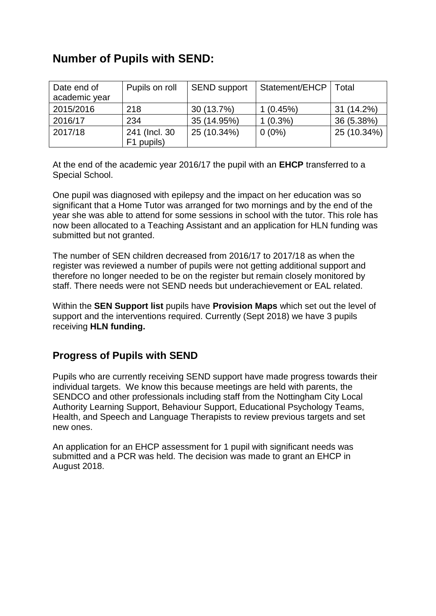## **Number of Pupils with SEND:**

| Date end of<br>academic year | Pupils on roll               | <b>SEND support</b> | Statement/EHCP | Total       |
|------------------------------|------------------------------|---------------------|----------------|-------------|
| 2015/2016                    | 218                          | 30 (13.7%)          | 1(0.45%)       | 31 (14.2%)  |
| 2016/17                      | 234                          | 35 (14.95%)         | $1(0.3\%)$     | 36 (5.38%)  |
| 2017/18                      | 241 (Incl. 30)<br>F1 pupils) | 25 (10.34%)         | $0(0\%)$       | 25 (10.34%) |

At the end of the academic year 2016/17 the pupil with an **EHCP** transferred to a Special School.

One pupil was diagnosed with epilepsy and the impact on her education was so significant that a Home Tutor was arranged for two mornings and by the end of the year she was able to attend for some sessions in school with the tutor. This role has now been allocated to a Teaching Assistant and an application for HLN funding was submitted but not granted.

The number of SEN children decreased from 2016/17 to 2017/18 as when the register was reviewed a number of pupils were not getting additional support and therefore no longer needed to be on the register but remain closely monitored by staff. There needs were not SEND needs but underachievement or EAL related.

Within the **SEN Support list** pupils have **Provision Maps** which set out the level of support and the interventions required. Currently (Sept 2018) we have 3 pupils receiving **HLN funding.** 

## **Progress of Pupils with SEND**

Pupils who are currently receiving SEND support have made progress towards their individual targets. We know this because meetings are held with parents, the SENDCO and other professionals including staff from the Nottingham City Local Authority Learning Support, Behaviour Support, Educational Psychology Teams, Health, and Speech and Language Therapists to review previous targets and set new ones.

An application for an EHCP assessment for 1 pupil with significant needs was submitted and a PCR was held. The decision was made to grant an EHCP in August 2018.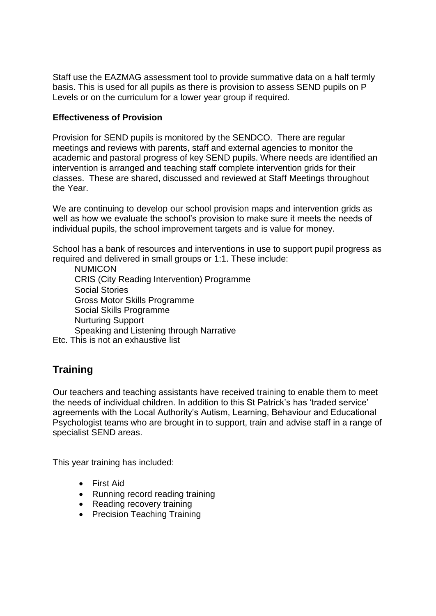Staff use the EAZMAG assessment tool to provide summative data on a half termly basis. This is used for all pupils as there is provision to assess SEND pupils on P Levels or on the curriculum for a lower year group if required.

#### **Effectiveness of Provision**

Provision for SEND pupils is monitored by the SENDCO. There are regular meetings and reviews with parents, staff and external agencies to monitor the academic and pastoral progress of key SEND pupils. Where needs are identified an intervention is arranged and teaching staff complete intervention grids for their classes. These are shared, discussed and reviewed at Staff Meetings throughout the Year.

We are continuing to develop our school provision maps and intervention grids as well as how we evaluate the school's provision to make sure it meets the needs of individual pupils, the school improvement targets and is value for money.

School has a bank of resources and interventions in use to support pupil progress as required and delivered in small groups or 1:1. These include:

**NUMICON**  CRIS (City Reading Intervention) Programme Social Stories Gross Motor Skills Programme Social Skills Programme Nurturing Support Speaking and Listening through Narrative Etc. This is not an exhaustive list

## **Training**

Our teachers and teaching assistants have received training to enable them to meet the needs of individual children. In addition to this St Patrick's has 'traded service' agreements with the Local Authority's Autism, Learning, Behaviour and Educational Psychologist teams who are brought in to support, train and advise staff in a range of specialist SEND areas.

This year training has included:

- First Aid
- Running record reading training
- Reading recovery training
- Precision Teaching Training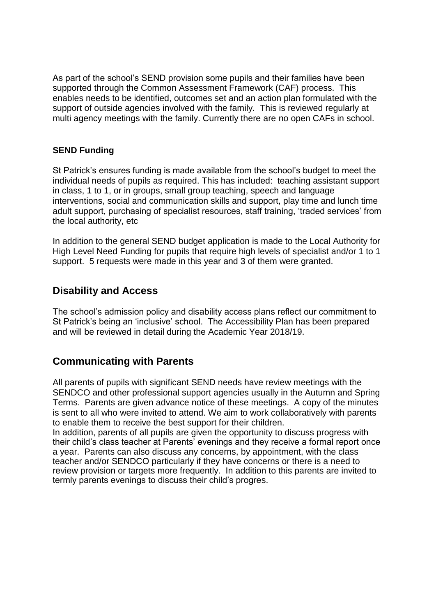As part of the school's SEND provision some pupils and their families have been supported through the Common Assessment Framework (CAF) process. This enables needs to be identified, outcomes set and an action plan formulated with the support of outside agencies involved with the family. This is reviewed regularly at multi agency meetings with the family. Currently there are no open CAFs in school.

#### **SEND Funding**

St Patrick's ensures funding is made available from the school's budget to meet the individual needs of pupils as required. This has included: teaching assistant support in class, 1 to 1, or in groups, small group teaching, speech and language interventions, social and communication skills and support, play time and lunch time adult support, purchasing of specialist resources, staff training, 'traded services' from the local authority, etc

In addition to the general SEND budget application is made to the Local Authority for High Level Need Funding for pupils that require high levels of specialist and/or 1 to 1 support. 5 requests were made in this year and 3 of them were granted.

## **Disability and Access**

The school's admission policy and disability access plans reflect our commitment to St Patrick's being an 'inclusive' school. The Accessibility Plan has been prepared and will be reviewed in detail during the Academic Year 2018/19.

## **Communicating with Parents**

All parents of pupils with significant SEND needs have review meetings with the SENDCO and other professional support agencies usually in the Autumn and Spring Terms. Parents are given advance notice of these meetings. A copy of the minutes is sent to all who were invited to attend. We aim to work collaboratively with parents to enable them to receive the best support for their children.

In addition, parents of all pupils are given the opportunity to discuss progress with their child's class teacher at Parents' evenings and they receive a formal report once a year. Parents can also discuss any concerns, by appointment, with the class teacher and/or SENDCO particularly if they have concerns or there is a need to review provision or targets more frequently. In addition to this parents are invited to termly parents evenings to discuss their child's progres.